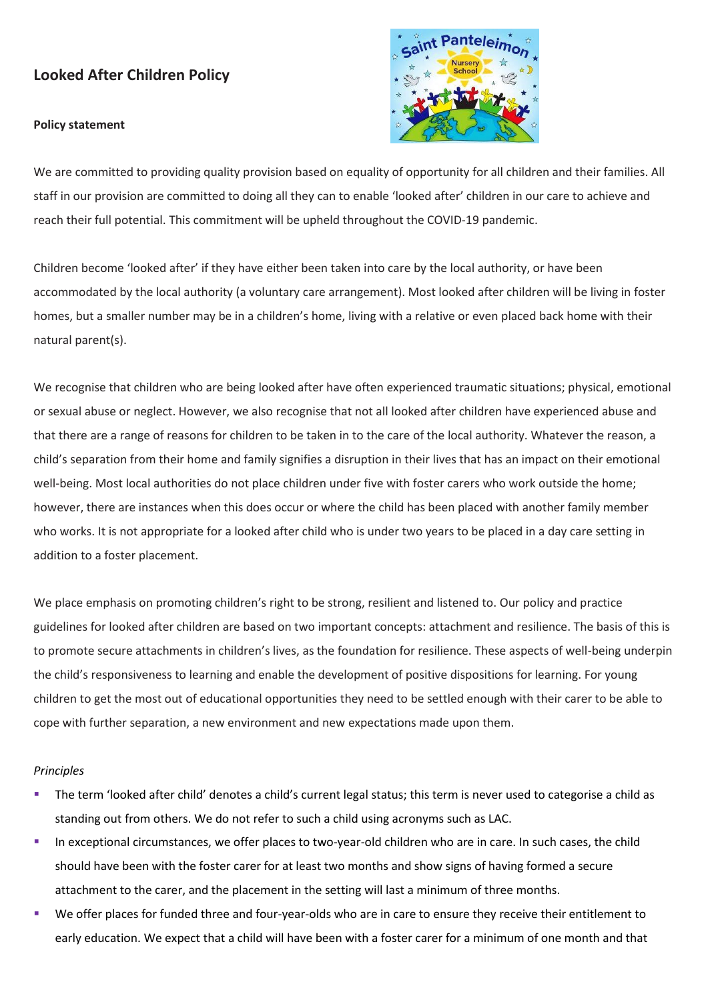# **Looked After Children Policy**

### **Policy statement**



We are committed to providing quality provision based on equality of opportunity for all children and their families. All staff in our provision are committed to doing all they can to enable 'looked after' children in our care to achieve and reach their full potential. This commitment will be upheld throughout the COVID-19 pandemic.

Children become 'looked after' if they have either been taken into care by the local authority, or have been accommodated by the local authority (a voluntary care arrangement). Most looked after children will be living in foster homes, but a smaller number may be in a children's home, living with a relative or even placed back home with their natural parent(s).

We recognise that children who are being looked after have often experienced traumatic situations; physical, emotional or sexual abuse or neglect. However, we also recognise that not all looked after children have experienced abuse and that there are a range of reasons for children to be taken in to the care of the local authority. Whatever the reason, a child's separation from their home and family signifies a disruption in their lives that has an impact on their emotional well-being. Most local authorities do not place children under five with foster carers who work outside the home; however, there are instances when this does occur or where the child has been placed with another family member who works. It is not appropriate for a looked after child who is under two years to be placed in a day care setting in addition to a foster placement.

We place emphasis on promoting children's right to be strong, resilient and listened to. Our policy and practice guidelines for looked after children are based on two important concepts: attachment and resilience. The basis of this is to promote secure attachments in children's lives, as the foundation for resilience. These aspects of well-being underpin the child's responsiveness to learning and enable the development of positive dispositions for learning. For young children to get the most out of educational opportunities they need to be settled enough with their carer to be able to cope with further separation, a new environment and new expectations made upon them.

#### *Principles*

- The term 'looked after child' denotes a child's current legal status; this term is never used to categorise a child as standing out from others. We do not refer to such a child using acronyms such as LAC.
- **EXECT** In exceptional circumstances, we offer places to two-year-old children who are in care. In such cases, the child should have been with the foster carer for at least two months and show signs of having formed a secure attachment to the carer, and the placement in the setting will last a minimum of three months.
- We offer places for funded three and four-year-olds who are in care to ensure they receive their entitlement to early education. We expect that a child will have been with a foster carer for a minimum of one month and that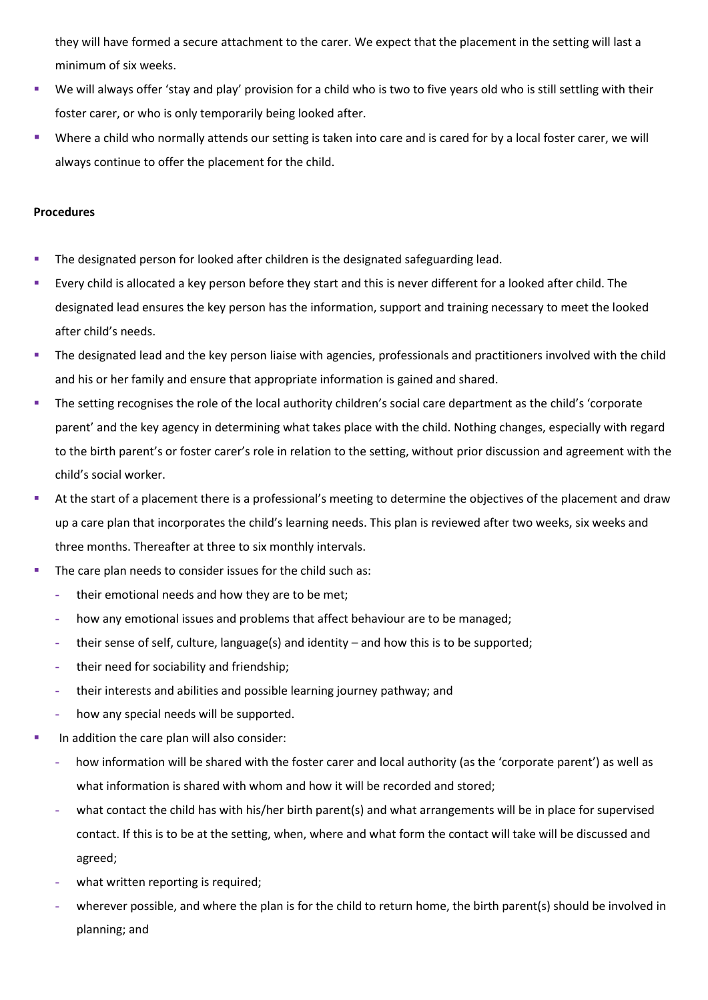they will have formed a secure attachment to the carer. We expect that the placement in the setting will last a minimum of six weeks.

- We will always offer 'stay and play' provision for a child who is two to five years old who is still settling with their foster carer, or who is only temporarily being looked after.
- Where a child who normally attends our setting is taken into care and is cared for by a local foster carer, we will always continue to offer the placement for the child.

## **Procedures**

- **•** The designated person for looked after children is the designated safeguarding lead.
- Every child is allocated a key person before they start and this is never different for a looked after child. The designated lead ensures the key person has the information, support and training necessary to meet the looked after child's needs.
- **The designated lead and the key person liaise with agencies, professionals and practitioners involved with the child** and his or her family and ensure that appropriate information is gained and shared.
- The setting recognises the role of the local authority children's social care department as the child's 'corporate parent' and the key agency in determining what takes place with the child. Nothing changes, especially with regard to the birth parent's or foster carer's role in relation to the setting, without prior discussion and agreement with the child's social worker.
- At the start of a placement there is a professional's meeting to determine the objectives of the placement and draw up a care plan that incorporates the child's learning needs. This plan is reviewed after two weeks, six weeks and three months. Thereafter at three to six monthly intervals.
- The care plan needs to consider issues for the child such as:
	- **-** their emotional needs and how they are to be met;
	- **-** how any emotional issues and problems that affect behaviour are to be managed;
	- **-** their sense of self, culture, language(s) and identity and how this is to be supported;
	- **-** their need for sociability and friendship;
	- **-** their interests and abilities and possible learning journey pathway; and
	- **-** how any special needs will be supported.
- In addition the care plan will also consider:
	- **-** how information will be shared with the foster carer and local authority (as the 'corporate parent') as well as what information is shared with whom and how it will be recorded and stored;
	- **-** what contact the child has with his/her birth parent(s) and what arrangements will be in place for supervised contact. If this is to be at the setting, when, where and what form the contact will take will be discussed and agreed;
	- **-** what written reporting is required;
	- **-** wherever possible, and where the plan is for the child to return home, the birth parent(s) should be involved in planning; and